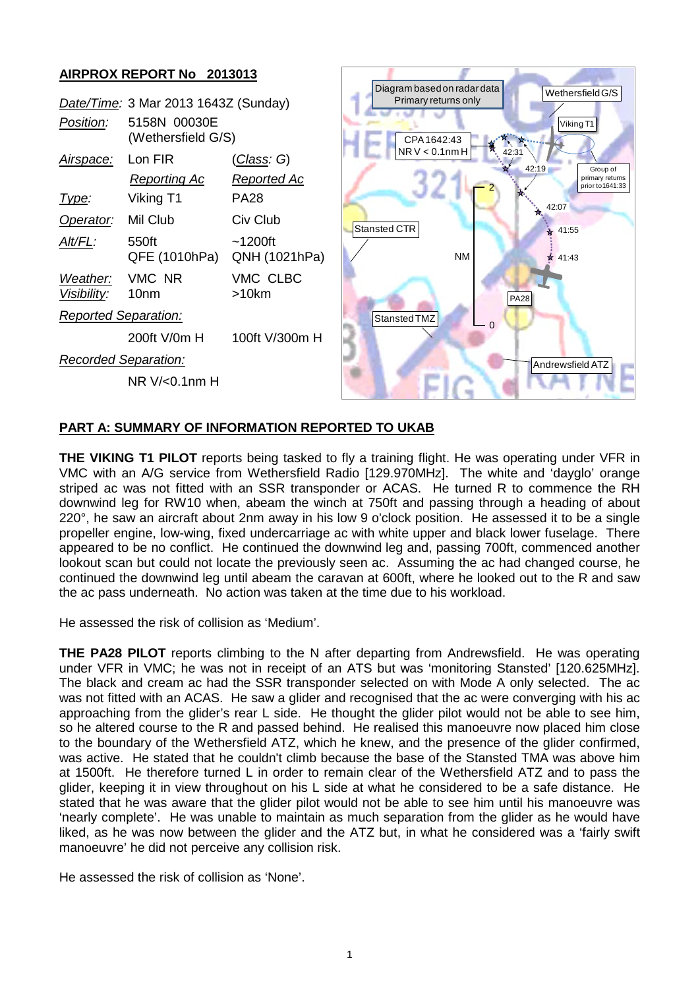## **AIRPROX REPORT No 2013013** Diagram based on radar data Wethersfield G/S Primary returns only *Date/Time:* 3 Mar 2013 1643Z (Sunday) *Position:* 5158N 00030E Viking T1(Wethersfield G/S) CPA 1642:43  $NR V < 0.1$ nm H  $42.31$ *Airspace:* Lon FIR (*Class: G*) 42:19 Group of *Reporting Ac Reported Ac* primary returns prior to1641:33 2 *Type:* Viking T1 PA28  $42.07$ ٦ **Operator:** Mil Club Civ Club Stansted CTR  $* 41:55$ *Alt/FL:* 550ft ~1200ft QFE (1010hPa) QNH (1021hPa) NM  $41.43$ *Weather:* VMC NR VMC CLBC *Visibility:* 10nm >10km PA28 *Reported Separation:* Stansted TMZ  $\Omega$ 200ft V/0m H 100ft V/300m H *Recorded Separation:* Andrewsfield ATZ NR V/<0.1nm H

## **PART A: SUMMARY OF INFORMATION REPORTED TO UKAB**

**THE VIKING T1 PILOT** reports being tasked to fly a training flight. He was operating under VFR in VMC with an A/G service from Wethersfield Radio [129.970MHz]. The white and 'dayglo' orange striped ac was not fitted with an SSR transponder or ACAS. He turned R to commence the RH downwind leg for RW10 when, abeam the winch at 750ft and passing through a heading of about 220°, he saw an aircraft about 2nm away in his low 9 o'clock position. He assessed it to be a single propeller engine, low-wing, fixed undercarriage ac with white upper and black lower fuselage. There appeared to be no conflict. He continued the downwind leg and, passing 700ft, commenced another lookout scan but could not locate the previously seen ac. Assuming the ac had changed course, he continued the downwind leg until abeam the caravan at 600ft, where he looked out to the R and saw the ac pass underneath. No action was taken at the time due to his workload.

He assessed the risk of collision as 'Medium'.

**THE PA28 PILOT** reports climbing to the N after departing from Andrewsfield. He was operating under VFR in VMC; he was not in receipt of an ATS but was 'monitoring Stansted' [120.625MHz]. The black and cream ac had the SSR transponder selected on with Mode A only selected. The ac was not fitted with an ACAS. He saw a glider and recognised that the ac were converging with his ac approaching from the glider's rear L side. He thought the glider pilot would not be able to see him, so he altered course to the R and passed behind. He realised this manoeuvre now placed him close to the boundary of the Wethersfield ATZ, which he knew, and the presence of the glider confirmed, was active. He stated that he couldn't climb because the base of the Stansted TMA was above him at 1500ft. He therefore turned L in order to remain clear of the Wethersfield ATZ and to pass the glider, keeping it in view throughout on his L side at what he considered to be a safe distance. He stated that he was aware that the glider pilot would not be able to see him until his manoeuvre was 'nearly complete'. He was unable to maintain as much separation from the glider as he would have liked, as he was now between the glider and the ATZ but, in what he considered was a 'fairly swift manoeuvre' he did not perceive any collision risk.

He assessed the risk of collision as 'None'.